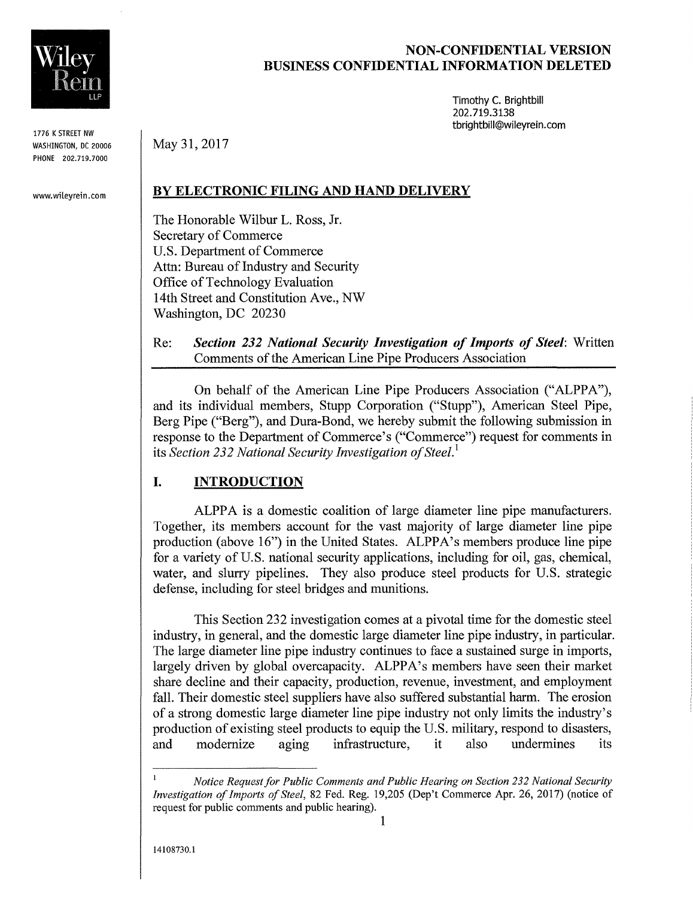

1776 K STREET NW WASHINGTON, DC 20006 PHONE 202.719.7000

www.wileyrein.com

## **NON-CONFIDENTIAL VERSION BUSINESS CONFIDENTIAL INFORMATION DELETED**

Timothy C. Brightbill 202.719.3138 tbrightbill@wileyrein.com

**BY ELECTRONIC FILING AND HAND DELIVERY** 

The Honorable Wilbur L. Ross, Jr. Secretary of Commerce U.S. Department of Commerce Attn: Bureau of Industry and Security Office of Technology Evaluation 14th Street and Constitution Ave., NW Washington, DC 20230

May 31,2017

Re: *Section* **232** *National Security Investigation of Imports of Steel:* Written Comments of the American Line Pipe Producers Association

On behalf of the American Line Pipe Producers Association ("ALPPA"), and its individual members, Stupp Corporation ("Stupp"), American Steel Pipe, Berg Pipe ("Berg"), and Dura-Bond, we hereby submit the following submission in response to the Department of Commerce's ("Commerce") request for comments in its *Section* 232 *National Security Investigation of Steel'* 

# **I. INTRODUCTION**

ALPPA is a domestic coalition of large diameter line pipe manufacturers. Together, its members account for the vast majority of large diameter line pipe production (above 16") in the United States. ALPPA's members produce line pipe for a variety of U.S. national security applications, including for oil, gas, chemical, water, and slurry pipelines. They also produce steel products for U.S. strategic defense, including for steel bridges and munitions.

This Section 232 investigation comes at a pivotal time for the domestic steel industry, in general, and the domestic large diameter line pipe industry, in particular. The large diameter line pipe industry continues to face a sustained surge in imports, largely driven by global overcapacity. ALPPA's members have seen their market share decline and their capacity, production, revenue, investment, and employment fall. Their domestic steel suppliers have also suffered substantial harm. The erosion of a strong domestic large diameter line pipe industry not only limits the industry's production of existing steel products to equip the U.S. military, respond to disasters, and modernize aging infrastructure, it also undermines its

*Notice Requestfor Public Comments and Public Hearing on Section* 232 *National Security Investigation of Imports of Steel,* 82 Fed. Reg. 19,205 (Dep't Commerce Apr. 26, 2017) (notice of request for public comments and public hearing).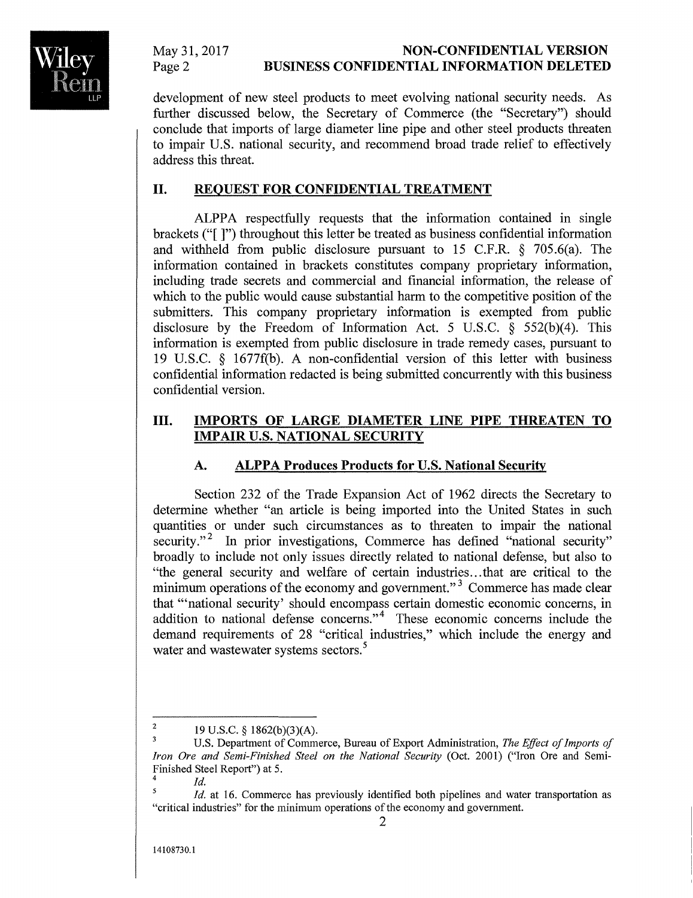

#### May 31, 2017 Page 2 **NON-CONFIDENTIAL VERSION BUSINESS CONFIDENTIAL INFORMATION DELETED**

development of new steel products to meet evolving national security needs. As further discussed below, the Secretary of Commerce (the "Secretary") should conclude that imports of large diameter line pipe and other steel products threaten to impair U.S. national security, and recommend broad trade relief to effectively address this threat.

## **II. REQUEST FOR CONFIDENTIAL TREATMENT**

ALPPA respectfully requests that the information contained in single brackets ("[ ]") throughout this letter be treated as business confidential information and withheld from public disclosure pursuant to 15 C.F.R. § 705.6(a). The information contained in brackets constitutes company proprietary information, including trade secrets and commercial and financial information, the release of which to the public would cause substantial harm to the competitive position of the submitters. This company proprietary information is exempted from public disclosure by the Freedom of Information Act. 5 U.S.C. § 552(b)(4). This information is exempted from public disclosure in trade remedy cases, pursuant to 19 U.S.C. § 1677f(b). A non-confidential version of this letter with business confidential information redacted is being submitted concurrently with this business confidential version.

## **III. IMPORTS OF LARGE DIAMETER LINE PIPE THREATEN TO IMPAIR U.S. NATIONAL SECURITY**

# **A. ALPPA Produces Products for U.S. National Security**

Section 232 of the Trade Expansion Act of 1962 directs the Secretary to determine whether "an article is being imported into the United States in such quantities or under such circumstances as to threaten to impair the national security."<sup>2</sup> In prior investigations, Commerce has defined "national security" broadly to include not only issues directly related to national defense, but also to "the general security and welfare of certain industries ... that are critical to the minimum operations of the economy and government."<sup>3</sup> Commerce has made clear that '''national security' should encompass certain domestic economic concerns, in addition to national defense concerns." $4$  These economic concerns include the demand requirements of 28 "critical industries," which include the energy and water and wastewater systems sectors.<sup>5</sup>

<sup>&</sup>lt;sup>2</sup> 19 U.S.C. § 1862(b)(3)(A).

U.S. Department of Commerce, Bureau of Export Administration, *The Effect of Imports of Iron Ore and Semi-Finished Steel on the National Security* (Oct. 2001) ("Iron Ore and Semi-Finished Steel Report") at 5.

 $\frac{4}{5}$  *Id. Id.* at 16. Commerce has previously identified both pipelines and water transportation as "critical industries" for the minimum operations of the economy and government.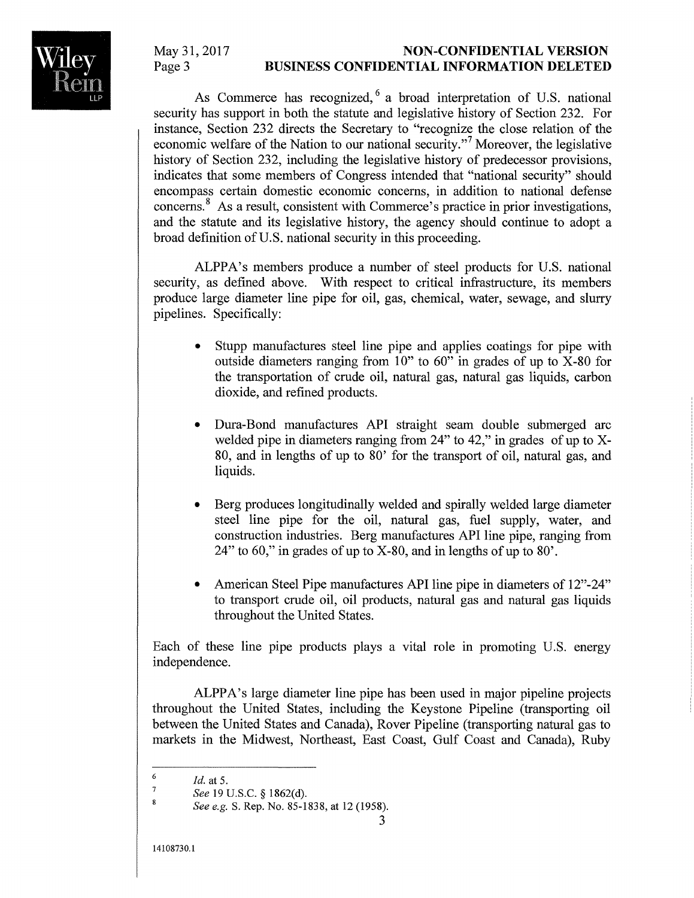

As Commerce has recognized, <sup>6</sup> a broad interpretation of U.S. national security has support in both the statute and legislative history of Section 232. For instance, Section 232 directs the Secretary to "recognize the close relation of the economic welfare of the Nation to our national security."<sup>7</sup> Moreover, the legislative history of Section 232, including the legislative history of predecessor provisions, indicates that some members of Congress intended that "national security" should encompass certain domestic economic concerns, in addition to national defense concerns." As a result, consistent with Commerce's practice in prior investigations, and the statute and its legislative history, the agency should continue to adopt a broad definition of U.S. national security in this proceeding.

ALPPA's members produce a number of steel products for U.S. national security, as defined above. With respect to critical infrastructure, its members produce large diameter line pipe for oil, gas, chemical, water, sewage, and slurry pipelines. Specifically:

- Stupp manufactures steel line pipe and applies coatings for pipe with outside diameters ranging from  $10$ " to  $60$ " in grades of up to  $X$ -80 for the transportation of crude oil, natural gas, natural gas liquids, carbon dioxide, and refined products.
- Dura-Bond manufactures API straight seam double submerged arc welded pipe in diameters ranging from 24" to 42," in grades of up to X-80, and in lengths of up to 80' for the transport of oil, natural gas, and liquids.
- Berg produces longitudinally welded and spirally welded large diameter steel line pipe for the oil, natural gas, fuel supply, water, and construction industries. Berg manufactures API line pipe, ranging from 24" to 60," in grades of up to X-80, and in lengths of up to 80'.
- American Steel Pipe manufactures API line pipe in diameters of 12"-24" to transport crude oil, oil products, natural gas and natural gas liquids throughout the United States.

Each of these line pipe products plays a vital role in promoting U.S. energy independence.

ALPPA's large diameter line pipe has been used in major pipeline projects throughout the United States, including the Keystone Pipeline (transporting oil between the United States and Canada), Rover Pipeline (transporting natural gas to markets in the Midwest, Northeast, East Coast, Gulf Coast and Canada), Ruby

<sup>6</sup>  *Id.* at 5.

<sup>7</sup>  *See* 19 U.S.C. § 1862(d).  $\overline{8}$ 

*See e.g.* S. Rep. No. 85-1838, at 12 (1958).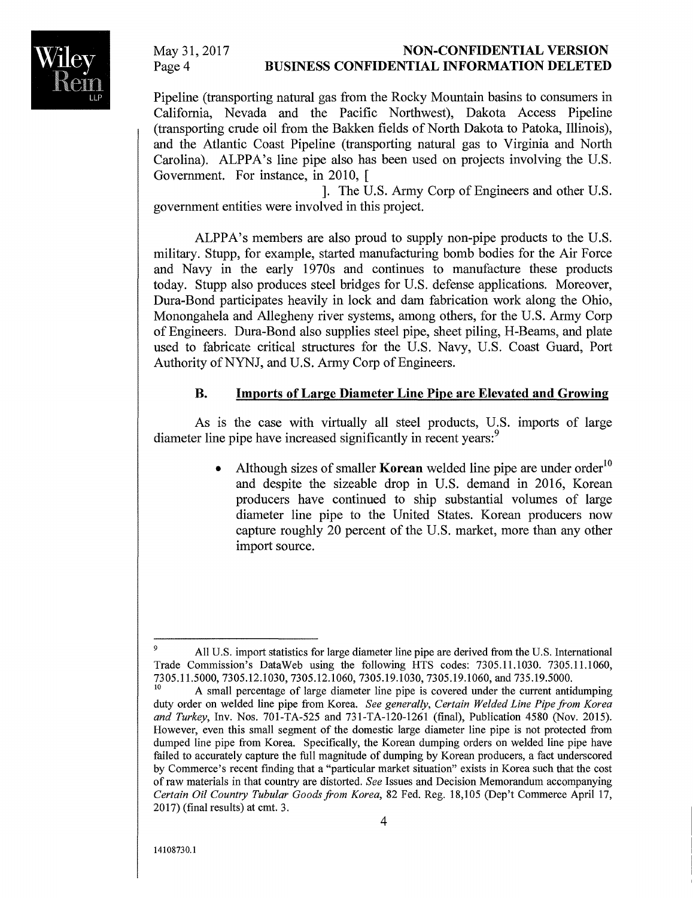#### **NON-CONFIDENTIAL VERSION BUSINESS CONFIDENTIAL INFORMATION DELETED**

Pipeline (transporting natural gas from the Rocky Mountain basins to consumers in California, Nevada and the Pacific Northwest), Dakota Access Pipeline (transporting crude oil from the Bakken fields of North Dakota to Patoka, Illinois), and the Atlantic Coast Pipeline (transporting natural gas to Virginia and North Carolina). ALPPA's line pipe also has been used on projects involving the U.S. Government. For instance, in 2010, [

]. The U.S. Army Corp of Engineers and other U.S. government entities were involved in this project.

ALPPA's members are also proud to supply non-pipe products to the U.S. military. Stupp, for example, started manufacturing bomb bodies for the Air Force and Navy in the early 1970s and continues to manufacture these products today. Stupp also produces steel bridges for U.S. defense applications. Moreover, Dura-Bond participates heavily in lock and dam fabrication work along the Ohio, Monongahela and Allegheny river systems, among others, for the U.S. Army Corp of Engineers. Dura-Bond also supplies steel pipe, sheet piling, H-Beams, and plate used to fabricate critical structures for the U.S. Navy, U.S. Coast Guard, Port Authority of NYNJ, and U.S. Army Corp of Engineers.

#### **B. Imports of Large Diameter Line Pipe are Elevated and Growing**

As is the case with virtually all steel products, U.S. imports of large diameter line pipe have increased significantly in recent years:<sup>9</sup>

> Although sizes of smaller **Korean** welded line pipe are under order<sup>10</sup> and despite the sizeable drop in U.S. demand in 2016, Korean producers have continued to ship substantial volumes of large diameter line pipe to the United States. Korean producers now capture roughly 20 percent of the U.S. market, more than any other import source.

All U.S. import statistics for large diameter line pipe are derived from the U.S. International Trade Commission's DataWeb using the following HTS codes: 7305.11.1030. 7305.11.1060, 7305.11.5000, 7305.12.1030, 7305.12.1060, 7305.19.1030, 7305.19.1060, and 735.19.5000.

<sup>10</sup>A small percentage of large diameter line pipe is covered under the current antidumping duty order on welded line pipe from Korea. *See generally, Certain Welded Line Pipe from Korea and Turkey,* Inv. Nos. 701-TA-525 and 731-TA-120-1261 (final), Publication 4580 (Nov. 2015). However, even this small segment of the domestic large diameter line pipe is not protected from dumped line pipe from Korea. Specifically, the Korean dumping orders on welded line pipe have failed to accurately capture the full magnitude of dumping by Korean producers, a fact underscored by Commerce's recent finding that a "particular market situation" exists in Korea such that the cost of raw materials in that country are distorted. *See* Issues and Decision Memorandum accompanying *Certain Oil Country Tubular Goodsfrom Korea,* 82 Fed. Reg. 18,105 (Dep't Commerce April 17, 2017) (final results) at cmt. 3.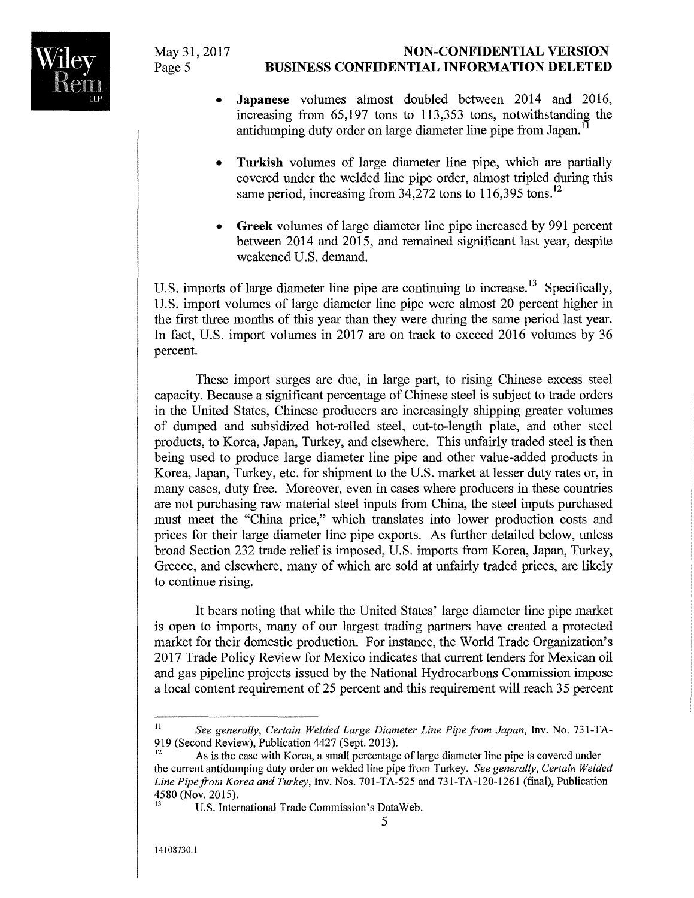## **NON-CONFIDENTIAL VERSION BUSINESS CONFIDENTIAL INFORMATION DELETED**

- **Japanese** volumes almost doubled between 2014 and 2016, increasing from 65,197 tons to 113,353 tons, notwithstanding the antidumping duty order on large diameter line pipe from Japan.<sup>1</sup>
- **Turkish** volumes of large diameter line pipe, which are partially covered under the welded line pipe order, almost tripled during this same period, increasing from  $34,272$  tons to  $116,395$  tons.<sup>12</sup>
- **Greek** volumes of large diameter line pipe increased by 991 percent between 2014 and 2015, and remained significant last year, despite weakened U.S. demand.

U.S. imports of large diameter line pipe are continuing to increase.<sup>13</sup> Specifically, U.S. import volumes of large diameter line pipe were almost 20 percent higher in the first three months of this year than they were during the same period last year. **In** fact, U.S. import volumes in 2017 are on track to exceed 2016 volumes by 36 percent.

These import surges are due, in large part, to rising Chinese excess steel capacity. Because a significant percentage of Chinese steel is subject to trade orders in the United States, Chinese producers are increasingly shipping greater volumes of dumped and subsidized hot-rolled steel, cut-to-length plate, and other steel products, to Korea, Japan, Turkey, and elsewhere. This unfairly traded steel is then being used to produce large diameter line pipe and other value-added products in Korea, Japan, Turkey, etc. for shipment to the U.S. market at lesser duty rates or, in many cases, duty free. Moreover, even in cases where producers in these countries are not purchasing raw material steel inputs from China, the steel inputs purchased must meet the "China price," which translates into lower production costs and prices for their large diameter line pipe exports. As further detailed below, unless broad Section 232 trade relief is imposed, U.S. imports from Korea, Japan, Turkey, Greece, and elsewhere, many of which are sold at unfairly traded prices, are likely to continue rising.

It bears noting that while the United States' large diameter line pipe market is open to imports, many of our largest trading partners have created a protected market for their domestic production. For instance, the World Trade Organization's 2017 Trade Policy Review for Mexico indicates that current tenders for Mexican oil and gas pipeline projects issued by the National Hydrocarbons Commission impose a local content requirement of 25 percent and this requirement will reach 35 percent



<sup>11</sup> *See generally, Certain Welded Large Diameter Line Pipe from Japan,* Inv. No. 731-TA-919 (Second Review), Publication 4427 (Sept. 2013).

As is the case with Korea, a small percentage of large diameter line pipe is covered under the current antidumping duty order on welded line pipe from Turkey. *See generally, Certain Welded*  Line Pipe from Korea and Turkey, Inv. Nos. 701-TA-525 and 731-TA-120-1261 (final), Publication 4580 (Nov. 2015).

U.S. International Trade Commission's DataWeb.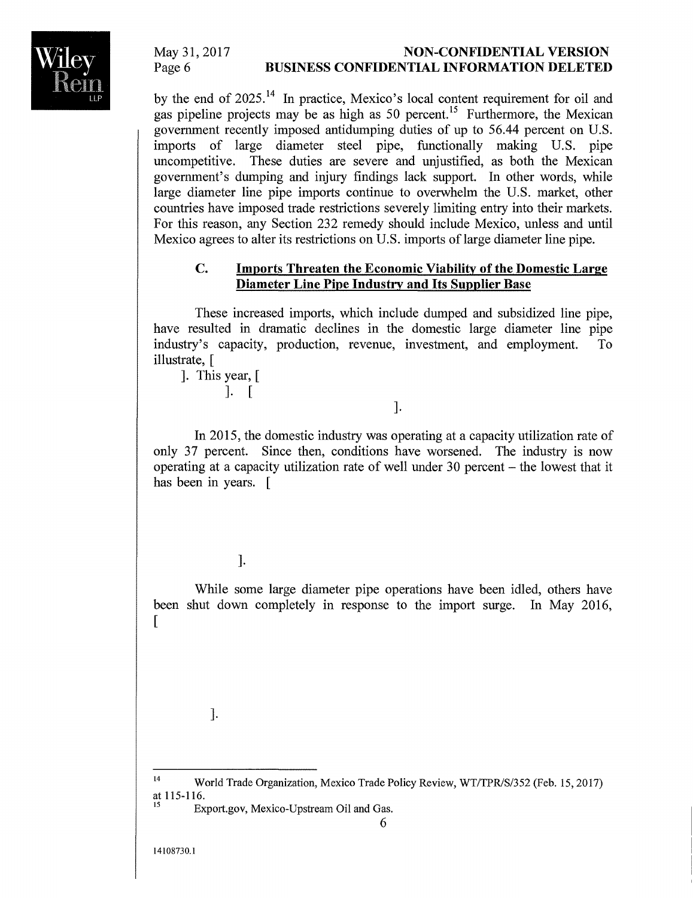### **NON-CONFIDENTIAL VERSION BUSINESS CONFIDENTIAL INFORMATION DELETED**

by the end of 2025.<sup>14</sup> In practice, Mexico's local content requirement for oil and gas pipeline projects may be as high as 50 percent.<sup>15</sup> Furthermore, the Mexican government recently imposed antidumping duties of up to 56.44 percent on U.S. imports of large diameter steel pipe, functionally making U.S. pipe uncompetitive. These duties are severe and unjustified, as both the Mexican government's dumping and injury findings lack support. In other words, while large diameter line pipe imports continue to overwhelm the U.S. market, other countries have imposed trade restrictions severely limiting entry into their markets. For this reason, any Section 232 remedy should include Mexico, unless and until Mexico agrees to alter its restrictions on U.S. imports of large diameter line pipe.

### **C. Imports Threaten the Economic Viability of the Domestic Large Diameter Line Pipe Industry and Its Supplier Base**

These increased imports, which include dumped and subsidized line pipe, have resulted in dramatic declines in the domestic large diameter line pipe industry'S capacity, production, revenue, investment, and employment. To illustrate, [

]. This year, [ ]. [

].

In 2015, the domestic industry was operating at a capacity utilization rate of only 37 percent. Since then, conditions have worsened. The industry is now operating at a capacity utilization rate of well under 30 percent - the lowest that it has been in years. [

].

While some large diameter pipe operations have been idled, others have been shut down completely in response to the import surge. In May 2016,  $\lceil$ 

].

<sup>&</sup>lt;sup>14</sup> World Trade Organization, Mexico Trade Policy Review, WT/TPR/S/352 (Feb. 15, 2017) at 115-116.

Export.gov, Mexico-Upstream Oil and Gas.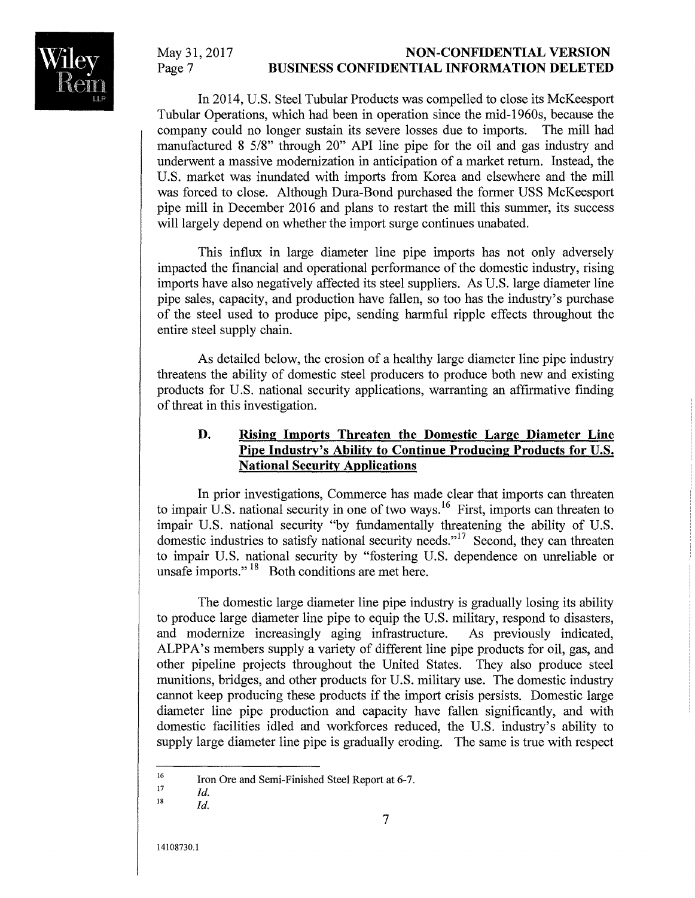#### **NON-CONFIDENTIAL VERSION BUSINESS CONFIDENTIAL INFORMATION DELETED**

In 2014, U.S. Steel Tubular Products was compelled to close its McKeesport Tubular Operations, which had been in operation since the mid-1960s, because the company could no longer sustain its severe losses due to imports. The mill had manufactured 8 5/8" through 20" API line pipe for the oil and gas industry and underwent a massive modernization in anticipation of a market return. Instead, the U.S. market was inundated with imports from Korea and elsewhere and the mill was forced to close. Although Dura-Bond purchased the former USS McKeesport pipe mill in December 2016 and plans to restart the mill this summer, its success will largely depend on whether the import surge continues unabated.

This influx in large diameter line pipe imports has not only adversely impacted the financial and operational performance of the domestic industry, rising imports have also negatively affected its steel suppliers. As U.S. large diameter line pipe sales, capacity, and production have fallen, so too has the industry's purchase of the steel used to produce pipe, sending harmful ripple effects throughout the entire steel supply chain.

As detailed below, the erosion of a healthy large diameter line pipe industry threatens the ability of domestic steel producers to produce both new and existing products for U.S. national security applications, warranting an affirmative finding of threat in this investigation.

## **D. Rising Imports Threaten the Domestic Large Diameter Line Pipe Industry's Ability to Continue Producing Products for U.S. National Security Applications**

In prior investigations, Commerce has made clear that imports can threaten to impair U.S. national security in one of two ways.<sup>16</sup> First, imports can threaten to impair U.S. national security "by fundamentally threatening the ability of U.S. domestic industries to satisfy national security needs."<sup>17</sup> Second, they can threaten to impair U.S. national security by "fostering U.S. dependence on unreliable or unsafe imports."<sup>18</sup> Both conditions are met here.

The domestic large diameter line pipe industry is gradually losing its ability to produce large diameter line pipe to equip the U.S. military, respond to disasters, and modernize increasingly aging infrastructure. As previously indicated, ALPPA's members supply a variety of different line pipe products for oil, gas, and other pipeline projects throughout the United States. They also produce steel munitions, bridges, and other products for U.S. military use. The domestic industry cannot keep producing these products if the import crisis persists. Domestic large diameter line pipe production and capacity have fallen significantly, and with domestic facilities idled and workforces reduced, the U.S. industry's ability to supply large diameter line pipe is gradually eroding. The same is true with respect

<sup>16</sup>  Iron Ore and Semi-Finished Steel Report at 6-7.

<sup>17</sup>  *Id.* 

<sup>18</sup>  *Id.*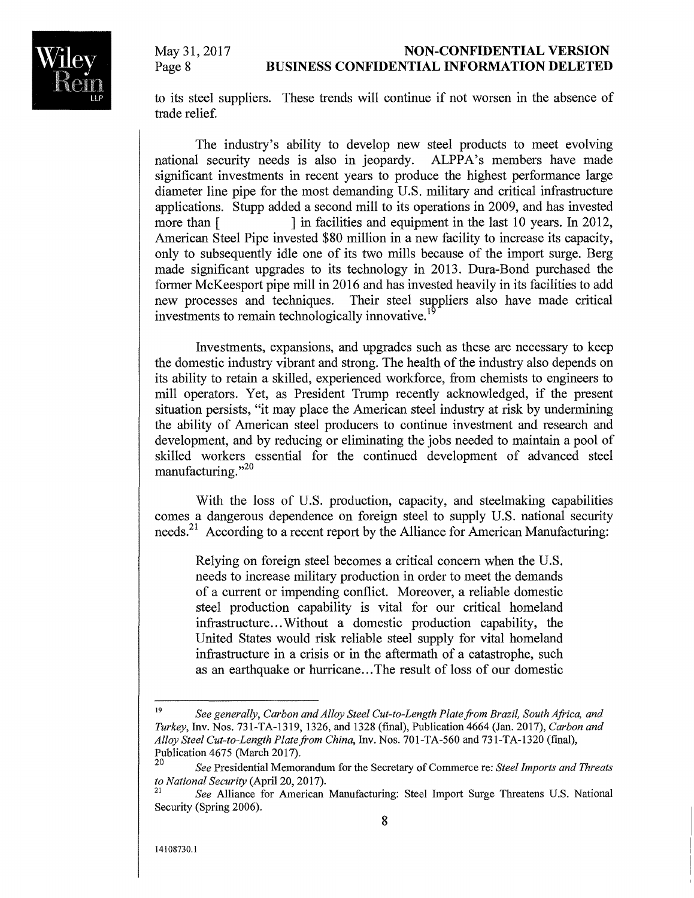#### **NON-CONFIDENTIAL VERSION BUSINESS CONFIDENTIAL INFORMATION DELETED**

to its steel suppliers. These trends will continue if not worsen in the absence of trade relief.

The industry's ability to develop new steel products to meet evolving national security needs is also in jeopardy. ALPPA's members have made significant investments in recent years to produce the highest performance large diameter line pipe for the most demanding U.S. military and critical infrastructure applications. Stupp added a second mill to its operations in 2009, and has invested more than [ ] in facilities and equipment in the last 10 years. In 2012, American Steel Pipe invested \$80 million in a new facility to increase its capacity, only to subsequently idle one of its two mills because of the import surge. Berg made significant upgrades to its technology in 2013. Dura-Bond purchased the former McKeesport pipe mill in 2016 and has invested heavily in its facilities to add new processes and techniques. Their steel surpliers also have made critical investments to remain technologically innovative.<sup>1</sup>

Investments, expansions, and upgrades such as these are necessary to keep the domestic industry vibrant and strong. The health of the industry also depends on its ability to retain a skilled, experienced workforce, from chemists to engineers to mill operators. Yet, as President Trump recently acknowledged, if the present situation persists, "it may place the American steel industry at risk by undermining the ability of American steel producers to continue investment and research and development, and by reducing or eliminating the jobs needed to maintain a pool of skilled workers essential for the continued development of advanced steel manufacturing.",20

With the loss of U.S. production, capacity, and steelmaking capabilities comes a dangerous dependence on foreign steel to supply U.S. national security needs.<sup>21</sup> According to a recent report by the Alliance for American Manufacturing:

Relying on foreign steel becomes a critical concern when the U.S. needs to increase military production in order to meet the demands of a current or impending conflict. Moreover, a reliable domestic steel production capability is vital for our critical homeland infrastructure ... Without a domestic production capability, the United States would risk reliable steel supply for vital homeland infrastructure in a crisis or in the aftermath of a catastrophe, such as an earthquake or hurricane...The result of loss of our domestic

<sup>19</sup>*See generally, Carbon and Alloy Steel Cut-to-Length Plate from Brazil, South Africa, and Turkey,* Inv. Nos. 731-TA-1319, 1326, and 1328 (final), Publication 4664 (Jan. 2017), *Carbon and Alloy Steel Cut-to-Length Plate/rom China,* Inv. Nos. 701-TA-560 and 731-TA-1320 (final), Publication 4675 (March 2017).

<sup>20</sup>*See* Presidential Memorandum for the Secretary of Commerce re: *Steel Imports and Threats to National Security* (April 20, 2017).

*<sup>21</sup>See* Alliance for American Manufacturing: Steel Import Surge Threatens U.S. National Security (Spring 2006).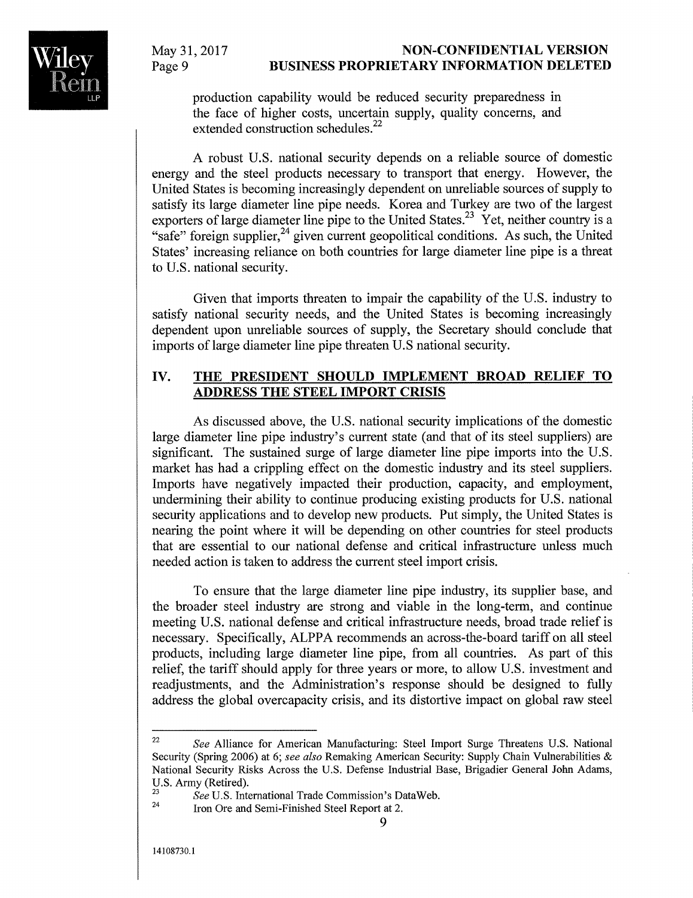#### **NON-CONFIDENTIAL VERSION BUSINESS PROPRIETARY INFORMATION DELETED**

production capability would be reduced security preparedness in the face of higher costs, uncertain supply, quality concerns, and extended construction schedules.<sup>22</sup>

A robust U.S. national security depends on a reliable source of domestic energy and the steel products necessary to transport that energy. However, the United States is becoming increasingly dependent on unreliable sources of supply to satisfy its large diameter line pipe needs. Korea and Turkey are two of the largest exporters of large diameter line pipe to the United States.<sup>23</sup> Yet, neither country is a "safe" foreign supplier,<sup>24</sup> given current geopolitical conditions. As such, the United States' increasing reliance on both countries for large diameter line pipe is a threat to U.S. national security.

Given that imports threaten to impair the capability of the U.S. industry to satisfy national security needs, and the United States is becoming increasingly dependent upon unreliable sources of supply, the Secretary should conclude that imports of large diameter line pipe threaten U.S national security.

#### **IV. THE PRESIDENT SHOULD IMPLEMENT BROAD RELIEF TO ADDRESS THE STEEL IMPORT CRISIS**

As discussed above, the U.S. national security implications of the domestic large diameter line pipe industry's current state (and that of its steel suppliers) are significant. The sustained surge of large diameter line pipe imports into the U.S. market has had a crippling effect on the domestic industry and its steel suppliers. Imports have negatively impacted their production, capacity, and employment, undermining their ability to continue producing existing products for U.S. national security applications and to develop new products. Put simply, the United States is nearing the point where it will be depending on other countries for steel products that are essential to our national defense and critical infrastructure unless much needed action is taken to address the current steel import crisis.

To ensure that the large diameter line pipe industry, its supplier base, and the broader steel industry are strong and viable in the long-term, and continue meeting U.S. national defense and critical infrastructure needs, broad trade relief is necessary. Specifically, ALPPA recommends an across-the-board tariff on all steel products, including large diameter line pipe, from all countries. As part of this relief, the tariff should apply for three years or more, to allow U.S. investment and readjustments, and the Administration's response should be designed to fully address the global overcapacity crisis, and its distortive impact on global raw steel

<sup>22</sup>*See* Alliance for American Manufacturing: Steel Import Surge Threatens U.S. National Security (Spring 2006) at 6; *see also* Remaking American Security: Supply Chain Vulnerabilities & National Security Risks Across the U.S. Defense Industrial Base, Brigadier General John Adams, U.S. Army (Retired).

<sup>&</sup>lt;sup>23</sup> See U.S. International Trade Commission's DataWeb.<br><sup>24</sup> Iron Ove and Sami Finished Steel Beneat at 2

Iron Ore and Semi-Finished Steel Report at 2.